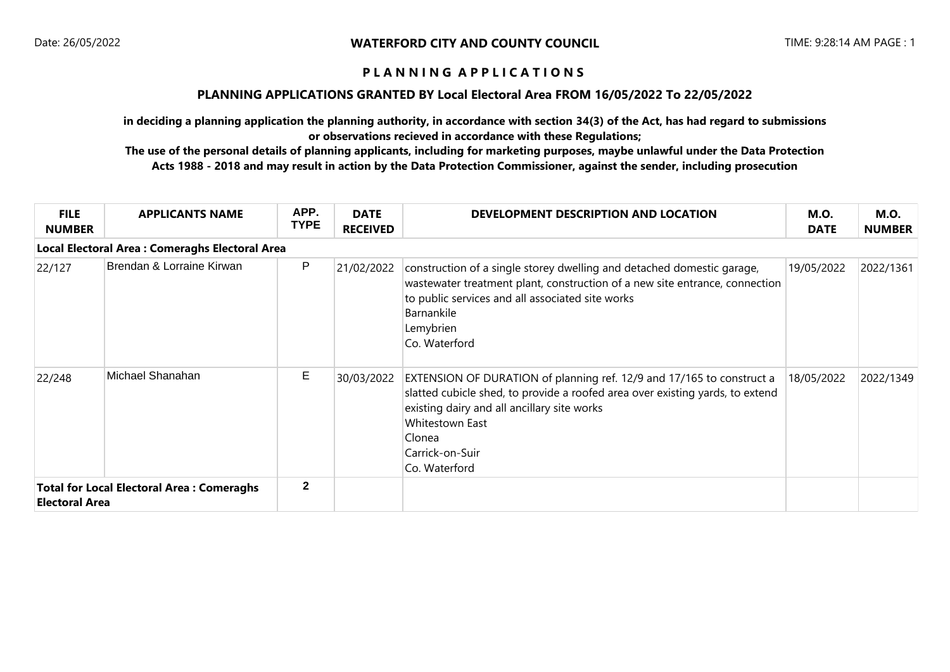#### **PLANNING APPLICATIONS GRANTED BY Local Electoral Area FROM 16/05/2022 To 22/05/2022**

**in deciding a planning application the planning authority, in accordance with section 34(3) of the Act, has had regard to submissions or observations recieved in accordance with these Regulations;**

| <b>FILE</b><br><b>NUMBER</b>                                              | <b>APPLICANTS NAME</b>                                | APP.<br><b>TYPE</b> | <b>DATE</b><br><b>RECEIVED</b> | DEVELOPMENT DESCRIPTION AND LOCATION                                                                                                                                                                                                                                   | <b>M.O.</b><br><b>DATE</b> | <b>M.O.</b><br><b>NUMBER</b> |  |  |  |
|---------------------------------------------------------------------------|-------------------------------------------------------|---------------------|--------------------------------|------------------------------------------------------------------------------------------------------------------------------------------------------------------------------------------------------------------------------------------------------------------------|----------------------------|------------------------------|--|--|--|
|                                                                           | <b>Local Electoral Area: Comeraghs Electoral Area</b> |                     |                                |                                                                                                                                                                                                                                                                        |                            |                              |  |  |  |
| 22/127                                                                    | Brendan & Lorraine Kirwan                             | P                   | 21/02/2022                     | construction of a single storey dwelling and detached domestic garage,<br>wastewater treatment plant, construction of a new site entrance, connection<br>to public services and all associated site works<br>Barnankile<br>Lemybrien<br>Co. Waterford                  | 19/05/2022                 | 2022/1361                    |  |  |  |
| 22/248                                                                    | Michael Shanahan                                      | Е                   | 30/03/2022                     | EXTENSION OF DURATION of planning ref. 12/9 and 17/165 to construct a<br>slatted cubicle shed, to provide a roofed area over existing yards, to extend<br>existing dairy and all ancillary site works<br>Whitestown East<br>Clonea<br>Carrick-on-Suir<br>Co. Waterford | 18/05/2022                 | 2022/1349                    |  |  |  |
| <b>Total for Local Electoral Area: Comeraghs</b><br><b>Electoral Area</b> |                                                       | $\mathbf{2}$        |                                |                                                                                                                                                                                                                                                                        |                            |                              |  |  |  |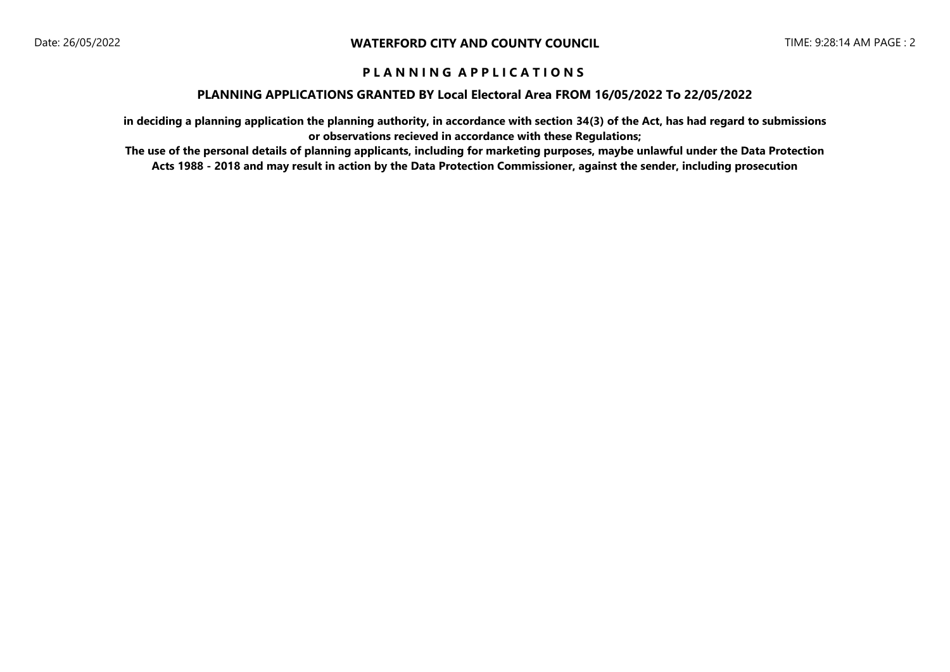#### **PLANNING APPLICATIONS GRANTED BY Local Electoral Area FROM 16/05/2022 To 22/05/2022**

**in deciding a planning application the planning authority, in accordance with section 34(3) of the Act, has had regard to submissions or observations recieved in accordance with these Regulations;**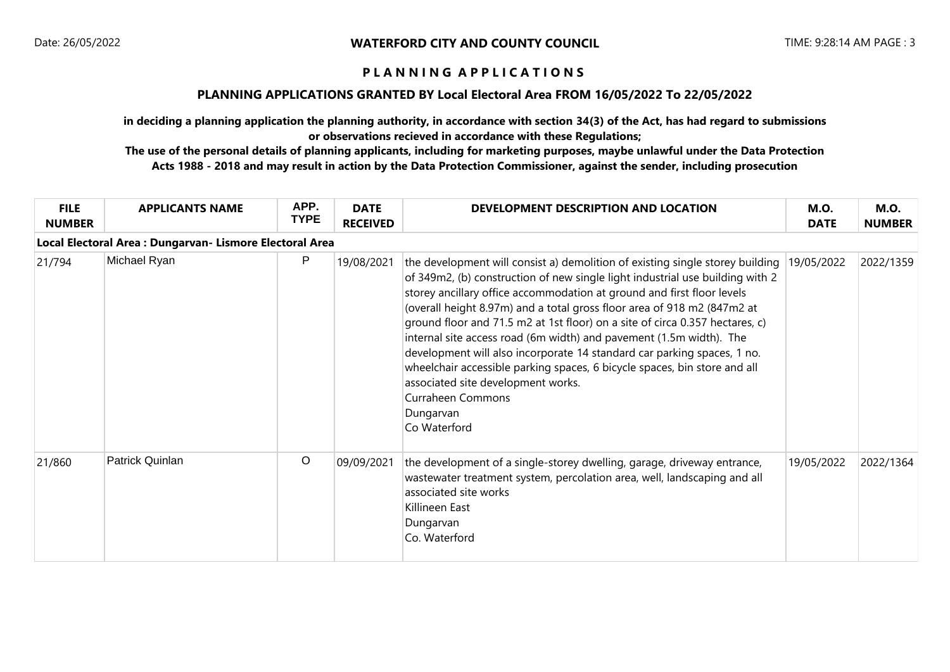### **PLANNING APPLICATIONS GRANTED BY Local Electoral Area FROM 16/05/2022 To 22/05/2022**

**in deciding a planning application the planning authority, in accordance with section 34(3) of the Act, has had regard to submissions or observations recieved in accordance with these Regulations;**

| <b>FILE</b><br><b>NUMBER</b> | <b>APPLICANTS NAME</b>                                   | APP.<br><b>TYPE</b> | <b>DATE</b><br><b>RECEIVED</b> | DEVELOPMENT DESCRIPTION AND LOCATION                                                                                                                                                                                                                                                                                                                                                                                                                                                                                                                                                                                                                                                                                              | <b>M.O.</b><br><b>DATE</b> | <b>M.O.</b><br><b>NUMBER</b> |  |  |  |
|------------------------------|----------------------------------------------------------|---------------------|--------------------------------|-----------------------------------------------------------------------------------------------------------------------------------------------------------------------------------------------------------------------------------------------------------------------------------------------------------------------------------------------------------------------------------------------------------------------------------------------------------------------------------------------------------------------------------------------------------------------------------------------------------------------------------------------------------------------------------------------------------------------------------|----------------------------|------------------------------|--|--|--|
|                              | Local Electoral Area : Dungarvan- Lismore Electoral Area |                     |                                |                                                                                                                                                                                                                                                                                                                                                                                                                                                                                                                                                                                                                                                                                                                                   |                            |                              |  |  |  |
| 21/794                       | Michael Ryan                                             | P                   | 19/08/2021                     | the development will consist a) demolition of existing single storey building<br>of 349m2, (b) construction of new single light industrial use building with 2<br>storey ancillary office accommodation at ground and first floor levels<br>(overall height 8.97m) and a total gross floor area of 918 m2 (847m2 at<br>ground floor and 71.5 m2 at 1st floor) on a site of circa 0.357 hectares, c)<br>internal site access road (6m width) and pavement (1.5m width). The<br>development will also incorporate 14 standard car parking spaces, 1 no.<br>wheelchair accessible parking spaces, 6 bicycle spaces, bin store and all<br>associated site development works.<br><b>Curraheen Commons</b><br>Dungarvan<br>Co Waterford | 19/05/2022                 | 2022/1359                    |  |  |  |
| 21/860                       | Patrick Quinlan                                          | $\circ$             | 09/09/2021                     | the development of a single-storey dwelling, garage, driveway entrance,<br>wastewater treatment system, percolation area, well, landscaping and all<br>associated site works<br>Killineen East<br>Dungarvan<br>Co. Waterford                                                                                                                                                                                                                                                                                                                                                                                                                                                                                                      | 19/05/2022                 | 2022/1364                    |  |  |  |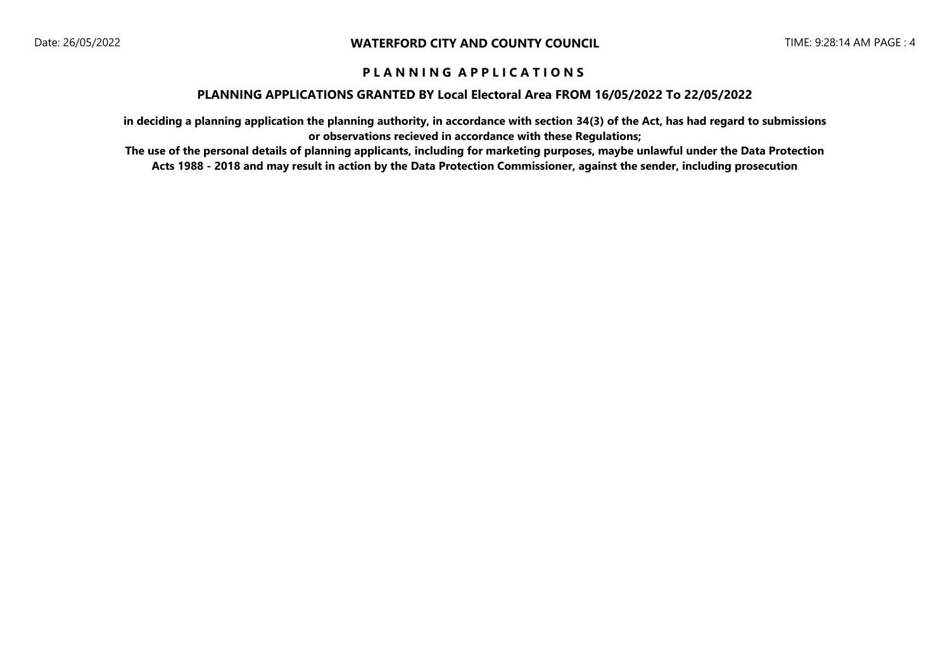#### **PLANNING APPLICATIONS GRANTED BY Local Electoral Area FROM 16/05/2022 To 22/05/2022**

**in deciding a planning application the planning authority, in accordance with section 34(3) of the Act, has had regard to submissions or observations recieved in accordance with these Regulations;**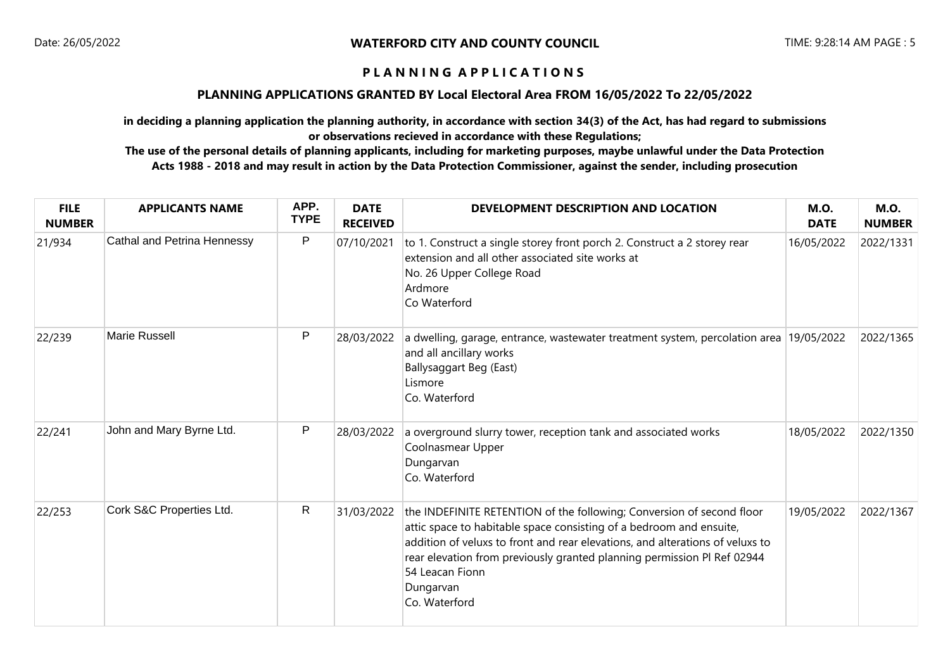### **PLANNING APPLICATIONS GRANTED BY Local Electoral Area FROM 16/05/2022 To 22/05/2022**

**in deciding a planning application the planning authority, in accordance with section 34(3) of the Act, has had regard to submissions or observations recieved in accordance with these Regulations;**

| <b>FILE</b><br><b>NUMBER</b> | <b>APPLICANTS NAME</b>             | APP.<br><b>TYPE</b> | <b>DATE</b><br><b>RECEIVED</b> | DEVELOPMENT DESCRIPTION AND LOCATION                                                                                                                                                                                                                                                                                                                      | <b>M.O.</b><br><b>DATE</b> | <b>M.O.</b><br><b>NUMBER</b> |
|------------------------------|------------------------------------|---------------------|--------------------------------|-----------------------------------------------------------------------------------------------------------------------------------------------------------------------------------------------------------------------------------------------------------------------------------------------------------------------------------------------------------|----------------------------|------------------------------|
| 21/934                       | <b>Cathal and Petrina Hennessy</b> | P                   | 07/10/2021                     | to 1. Construct a single storey front porch 2. Construct a 2 storey rear<br>extension and all other associated site works at<br>No. 26 Upper College Road<br>Ardmore<br>Co Waterford                                                                                                                                                                      | 16/05/2022                 | 2022/1331                    |
| 22/239                       | <b>Marie Russell</b>               | P                   | 28/03/2022                     | a dwelling, garage, entrance, wastewater treatment system, percolation area 19/05/2022<br>and all ancillary works<br><b>Ballysaggart Beg (East)</b><br>Lismore<br>Co. Waterford                                                                                                                                                                           |                            | 2022/1365                    |
| 22/241                       | John and Mary Byrne Ltd.           | P                   | 28/03/2022                     | a overground slurry tower, reception tank and associated works<br>Coolnasmear Upper<br>Dungarvan<br>Co. Waterford                                                                                                                                                                                                                                         | 18/05/2022                 | 2022/1350                    |
| 22/253                       | Cork S&C Properties Ltd.           | $\mathsf{R}$        | 31/03/2022                     | the INDEFINITE RETENTION of the following; Conversion of second floor<br>attic space to habitable space consisting of a bedroom and ensuite,<br>addition of veluxs to front and rear elevations, and alterations of veluxs to<br>rear elevation from previously granted planning permission PI Ref 02944<br>54 Leacan Fionn<br>Dungarvan<br>Co. Waterford | 19/05/2022                 | 2022/1367                    |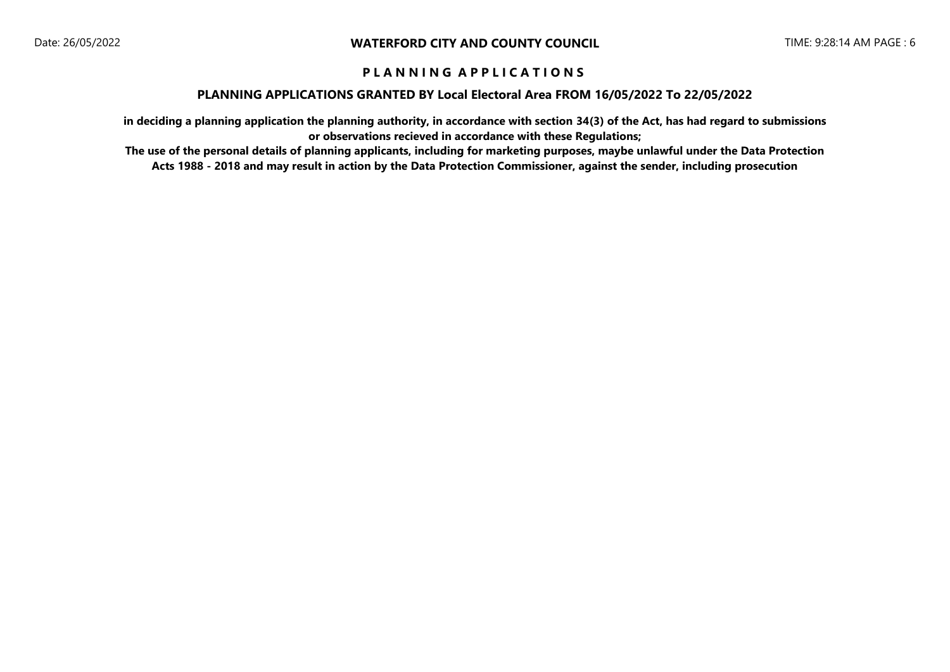#### **PLANNING APPLICATIONS GRANTED BY Local Electoral Area FROM 16/05/2022 To 22/05/2022**

**in deciding a planning application the planning authority, in accordance with section 34(3) of the Act, has had regard to submissions or observations recieved in accordance with these Regulations;**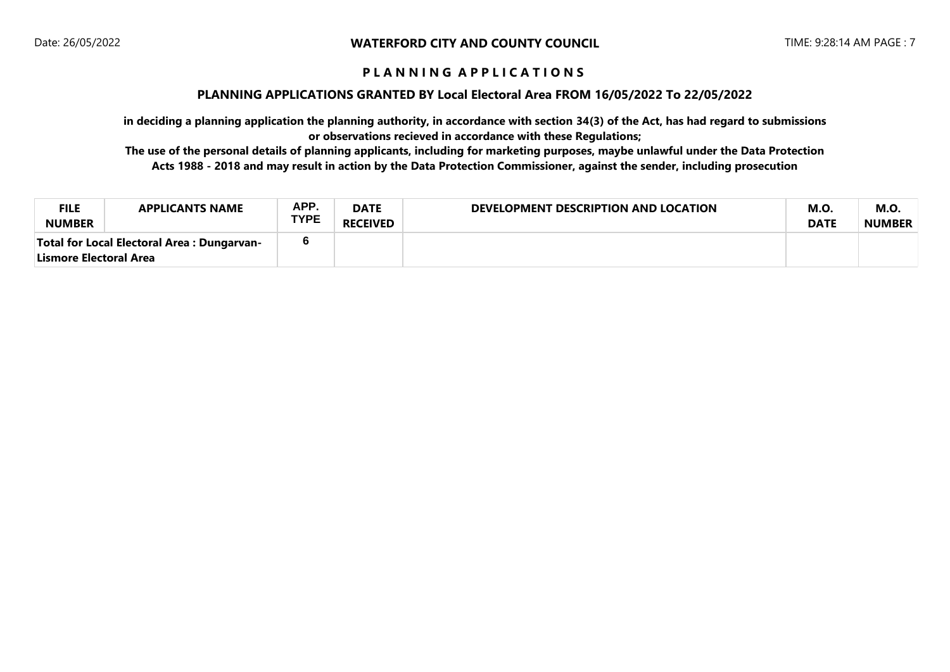### **PLANNING APPLICATIONS GRANTED BY Local Electoral Area FROM 16/05/2022 To 22/05/2022**

**in deciding a planning application the planning authority, in accordance with section 34(3) of the Act, has had regard to submissions or observations recieved in accordance with these Regulations;**

| <b>FILE</b><br><b>NUMBER</b>                                           | <b>APPLICANTS NAME</b> | APP.<br><b>TYPE</b> | <b>DATE</b><br><b>RECEIVED</b> | DEVELOPMENT DESCRIPTION AND LOCATION | <b>M.O.</b><br><b>DATE</b> | M.O<br><b>NUMBER</b> |
|------------------------------------------------------------------------|------------------------|---------------------|--------------------------------|--------------------------------------|----------------------------|----------------------|
| Total for Local Electoral Area : Dungarvan-<br> Lismore Electoral Area |                        |                     |                                |                                      |                            |                      |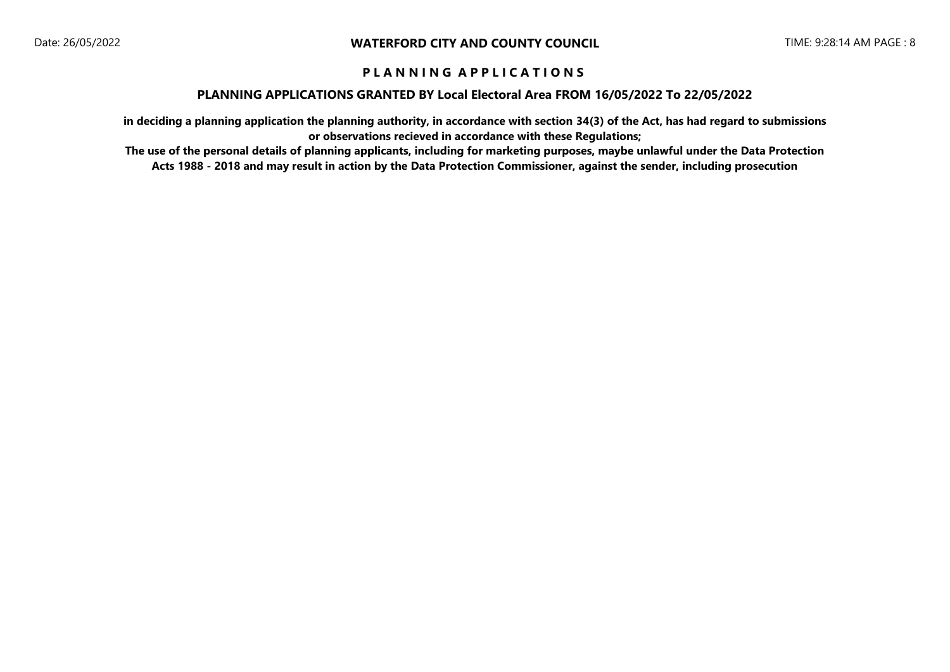#### **PLANNING APPLICATIONS GRANTED BY Local Electoral Area FROM 16/05/2022 To 22/05/2022**

**in deciding a planning application the planning authority, in accordance with section 34(3) of the Act, has had regard to submissions or observations recieved in accordance with these Regulations;**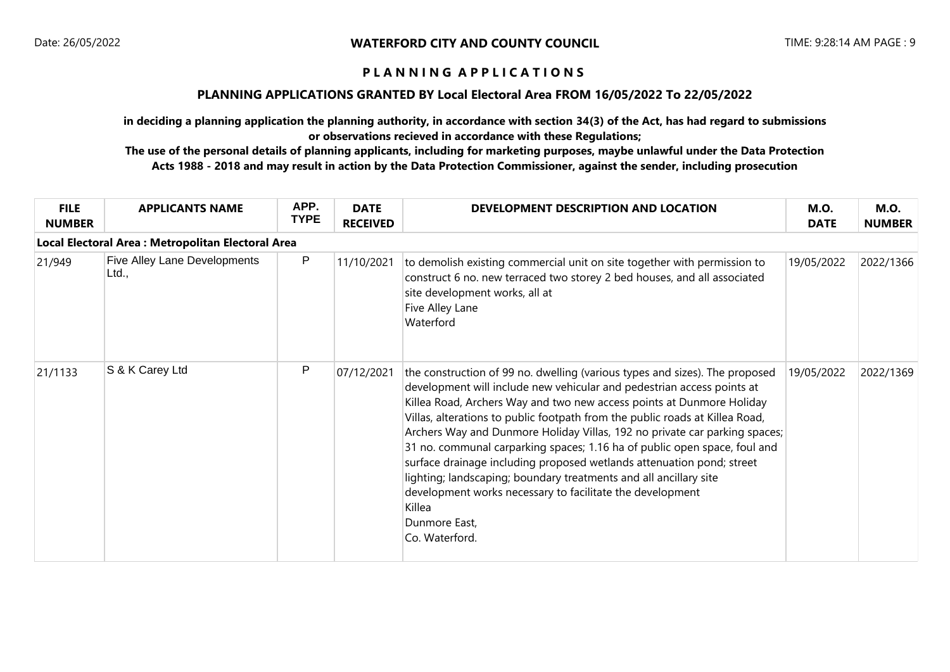### **PLANNING APPLICATIONS GRANTED BY Local Electoral Area FROM 16/05/2022 To 22/05/2022**

**in deciding a planning application the planning authority, in accordance with section 34(3) of the Act, has had regard to submissions or observations recieved in accordance with these Regulations;**

| <b>FILE</b><br><b>NUMBER</b> | <b>APPLICANTS NAME</b>                             | APP.<br><b>TYPE</b> | <b>DATE</b><br><b>RECEIVED</b> | DEVELOPMENT DESCRIPTION AND LOCATION                                                                                                                                                                                                                                                                                                                                                                                                                                                                                                                                                                                                                                                                                              | <b>M.O.</b><br><b>DATE</b> | <b>M.O.</b><br><b>NUMBER</b> |  |  |  |  |
|------------------------------|----------------------------------------------------|---------------------|--------------------------------|-----------------------------------------------------------------------------------------------------------------------------------------------------------------------------------------------------------------------------------------------------------------------------------------------------------------------------------------------------------------------------------------------------------------------------------------------------------------------------------------------------------------------------------------------------------------------------------------------------------------------------------------------------------------------------------------------------------------------------------|----------------------------|------------------------------|--|--|--|--|
|                              | Local Electoral Area : Metropolitan Electoral Area |                     |                                |                                                                                                                                                                                                                                                                                                                                                                                                                                                                                                                                                                                                                                                                                                                                   |                            |                              |  |  |  |  |
| 21/949                       | <b>Five Alley Lane Developments</b><br>Ltd.,       | P                   | 11/10/2021                     | to demolish existing commercial unit on site together with permission to<br>construct 6 no. new terraced two storey 2 bed houses, and all associated<br>site development works, all at<br>Five Alley Lane<br>Waterford                                                                                                                                                                                                                                                                                                                                                                                                                                                                                                            | 19/05/2022                 | 2022/1366                    |  |  |  |  |
| 21/1133                      | S & K Carey Ltd                                    | P                   | 07/12/2021                     | the construction of 99 no. dwelling (various types and sizes). The proposed<br>development will include new vehicular and pedestrian access points at<br>Killea Road, Archers Way and two new access points at Dunmore Holiday<br>Villas, alterations to public footpath from the public roads at Killea Road,<br>Archers Way and Dunmore Holiday Villas, 192 no private car parking spaces;<br>31 no. communal carparking spaces; 1.16 ha of public open space, foul and<br>surface drainage including proposed wetlands attenuation pond; street<br>lighting; landscaping; boundary treatments and all ancillary site<br>development works necessary to facilitate the development<br>Killea<br>Dunmore East,<br>Co. Waterford. | 19/05/2022                 | 2022/1369                    |  |  |  |  |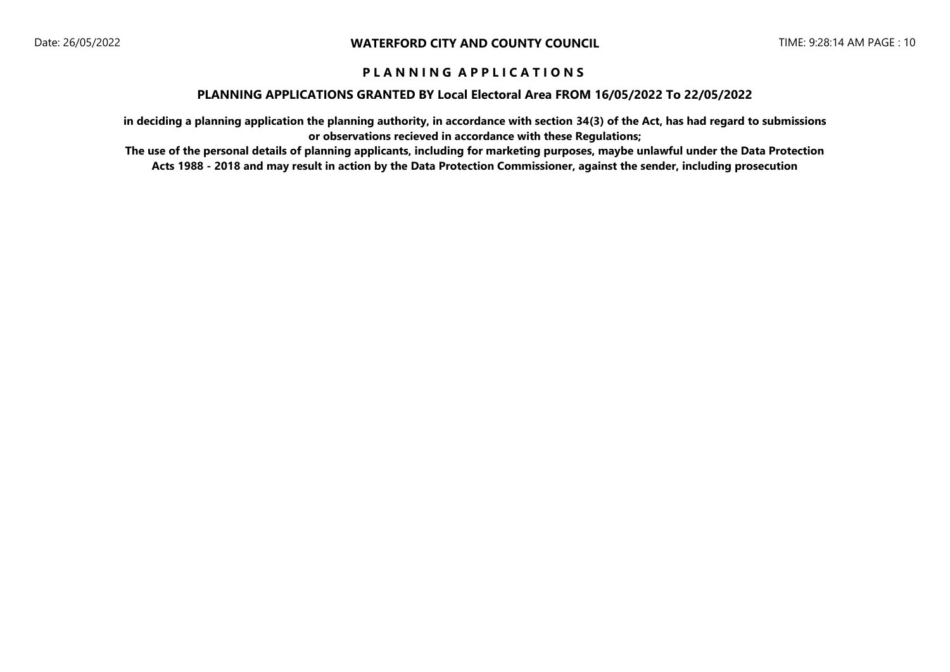#### **PLANNING APPLICATIONS GRANTED BY Local Electoral Area FROM 16/05/2022 To 22/05/2022**

**in deciding a planning application the planning authority, in accordance with section 34(3) of the Act, has had regard to submissions or observations recieved in accordance with these Regulations;**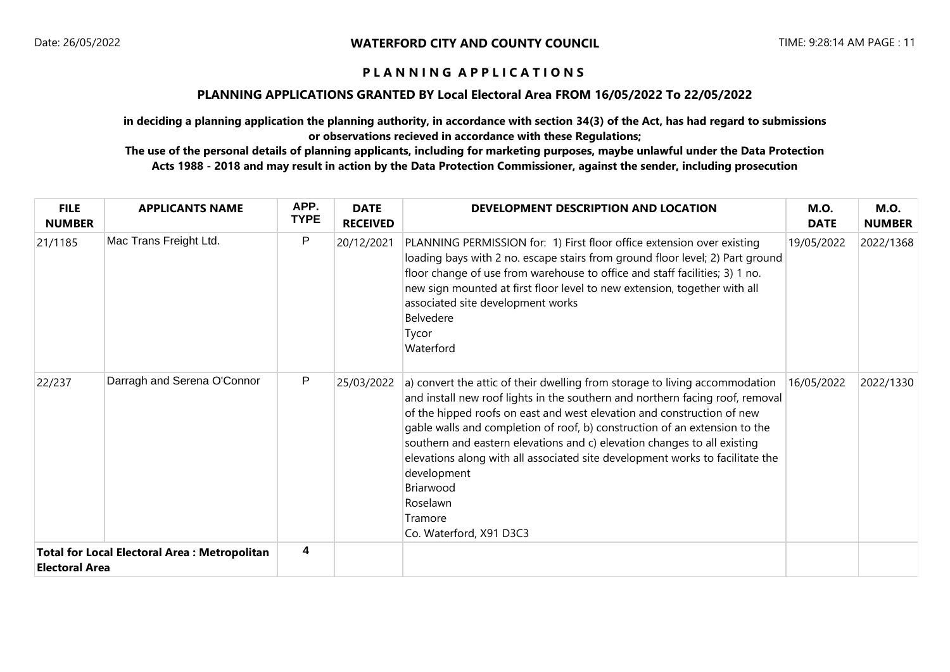### **PLANNING APPLICATIONS GRANTED BY Local Electoral Area FROM 16/05/2022 To 22/05/2022**

**in deciding a planning application the planning authority, in accordance with section 34(3) of the Act, has had regard to submissions or observations recieved in accordance with these Regulations;**

| <b>FILE</b><br><b>NUMBER</b>                                                 | <b>APPLICANTS NAME</b>      | APP.<br><b>TYPE</b> | <b>DATE</b><br><b>RECEIVED</b> | DEVELOPMENT DESCRIPTION AND LOCATION                                                                                                                                                                                                                                                                                                                                                                                                                                                                                                                            | <b>M.O.</b><br><b>DATE</b> | <b>M.O.</b><br><b>NUMBER</b> |
|------------------------------------------------------------------------------|-----------------------------|---------------------|--------------------------------|-----------------------------------------------------------------------------------------------------------------------------------------------------------------------------------------------------------------------------------------------------------------------------------------------------------------------------------------------------------------------------------------------------------------------------------------------------------------------------------------------------------------------------------------------------------------|----------------------------|------------------------------|
| 21/1185                                                                      | Mac Trans Freight Ltd.      | P                   | 20/12/2021                     | PLANNING PERMISSION for: 1) First floor office extension over existing<br>loading bays with 2 no. escape stairs from ground floor level; 2) Part ground<br>floor change of use from warehouse to office and staff facilities; 3) 1 no.<br>new sign mounted at first floor level to new extension, together with all<br>associated site development works<br>Belvedere<br>Tycor<br>Waterford                                                                                                                                                                     | 19/05/2022                 | 2022/1368                    |
| 22/237                                                                       | Darragh and Serena O'Connor | P                   | 25/03/2022                     | a) convert the attic of their dwelling from storage to living accommodation<br>and install new roof lights in the southern and northern facing roof, removal<br>of the hipped roofs on east and west elevation and construction of new<br>gable walls and completion of roof, b) construction of an extension to the<br>southern and eastern elevations and c) elevation changes to all existing<br>elevations along with all associated site development works to facilitate the<br>development<br>Briarwood<br>Roselawn<br>Tramore<br>Co. Waterford, X91 D3C3 | 16/05/2022                 | 2022/1330                    |
| <b>Total for Local Electoral Area: Metropolitan</b><br><b>Electoral Area</b> |                             | 4                   |                                |                                                                                                                                                                                                                                                                                                                                                                                                                                                                                                                                                                 |                            |                              |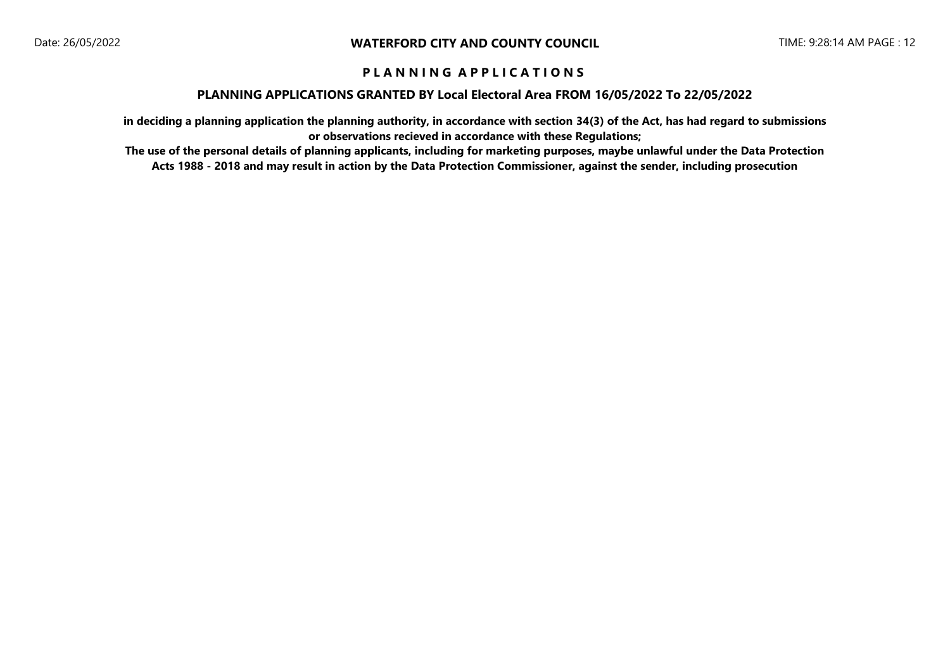#### **PLANNING APPLICATIONS GRANTED BY Local Electoral Area FROM 16/05/2022 To 22/05/2022**

**in deciding a planning application the planning authority, in accordance with section 34(3) of the Act, has had regard to submissions or observations recieved in accordance with these Regulations;**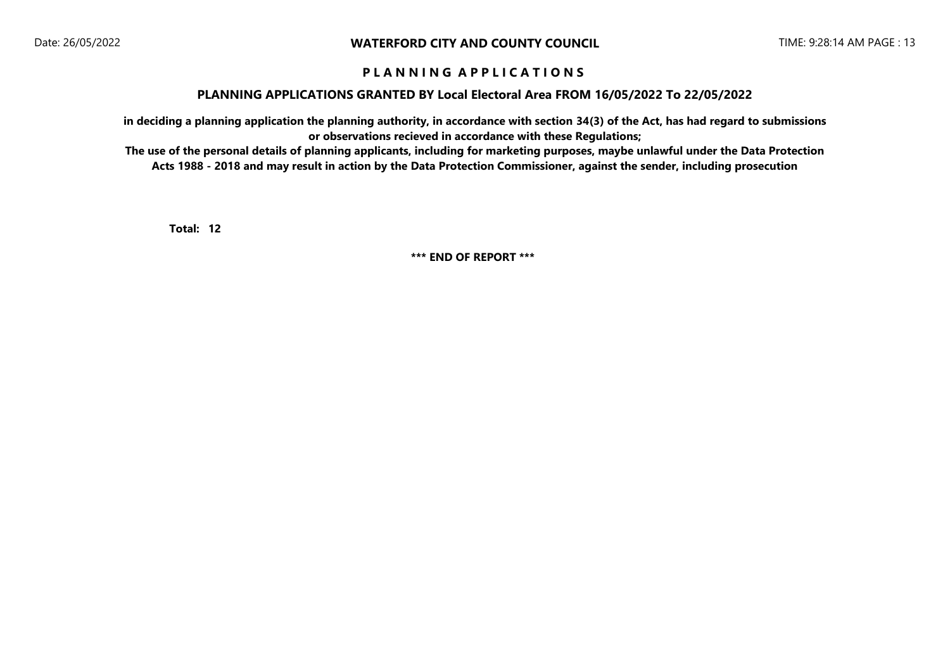#### **PLANNING APPLICATIONS GRANTED BY Local Electoral Area FROM 16/05/2022 To 22/05/2022**

**in deciding a planning application the planning authority, in accordance with section 34(3) of the Act, has had regard to submissions or observations recieved in accordance with these Regulations;**

**The use of the personal details of planning applicants, including for marketing purposes, maybe unlawful under the Data Protection Acts 1988 - 2018 and may result in action by the Data Protection Commissioner, against the sender, including prosecution**

**12 Total:** 

**\*\*\* END OF REPORT \*\*\***